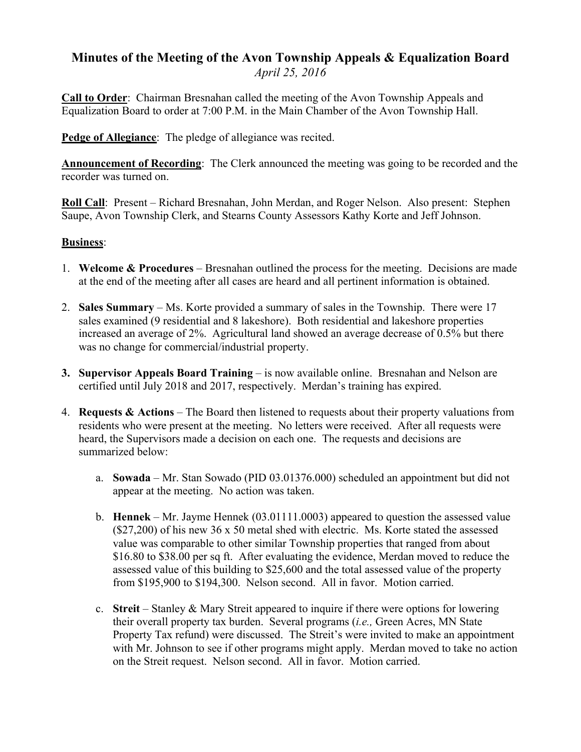## **Minutes of the Meeting of the Avon Township Appeals & Equalization Board** *April 25, 2016*

**Call to Order**: Chairman Bresnahan called the meeting of the Avon Township Appeals and Equalization Board to order at 7:00 P.M. in the Main Chamber of the Avon Township Hall.

**Pedge of Allegiance**: The pledge of allegiance was recited.

**Announcement of Recording**: The Clerk announced the meeting was going to be recorded and the recorder was turned on.

**Roll Call**: Present – Richard Bresnahan, John Merdan, and Roger Nelson. Also present: Stephen Saupe, Avon Township Clerk, and Stearns County Assessors Kathy Korte and Jeff Johnson.

## **Business**:

- 1. **Welcome & Procedures** Bresnahan outlined the process for the meeting. Decisions are made at the end of the meeting after all cases are heard and all pertinent information is obtained.
- 2. **Sales Summary**  Ms. Korte provided a summary of sales in the Township. There were 17 sales examined (9 residential and 8 lakeshore). Both residential and lakeshore properties increased an average of 2%. Agricultural land showed an average decrease of 0.5% but there was no change for commercial/industrial property.
- **3. Supervisor Appeals Board Training** is now available online. Bresnahan and Nelson are certified until July 2018 and 2017, respectively. Merdan's training has expired.
- 4. **Requests & Actions** The Board then listened to requests about their property valuations from residents who were present at the meeting. No letters were received. After all requests were heard, the Supervisors made a decision on each one. The requests and decisions are summarized below:
	- a. **Sowada** Mr. Stan Sowado (PID 03.01376.000) scheduled an appointment but did not appear at the meeting. No action was taken.
	- b. **Hennek** Mr. Jayme Hennek (03.01111.0003) appeared to question the assessed value (\$27,200) of his new 36 x 50 metal shed with electric. Ms. Korte stated the assessed value was comparable to other similar Township properties that ranged from about \$16.80 to \$38.00 per sq ft. After evaluating the evidence, Merdan moved to reduce the assessed value of this building to \$25,600 and the total assessed value of the property from \$195,900 to \$194,300. Nelson second. All in favor. Motion carried.
	- c. **Streit** Stanley & Mary Streit appeared to inquire if there were options for lowering their overall property tax burden. Several programs (*i.e.,* Green Acres, MN State Property Tax refund) were discussed. The Streit's were invited to make an appointment with Mr. Johnson to see if other programs might apply. Merdan moved to take no action on the Streit request. Nelson second. All in favor. Motion carried.